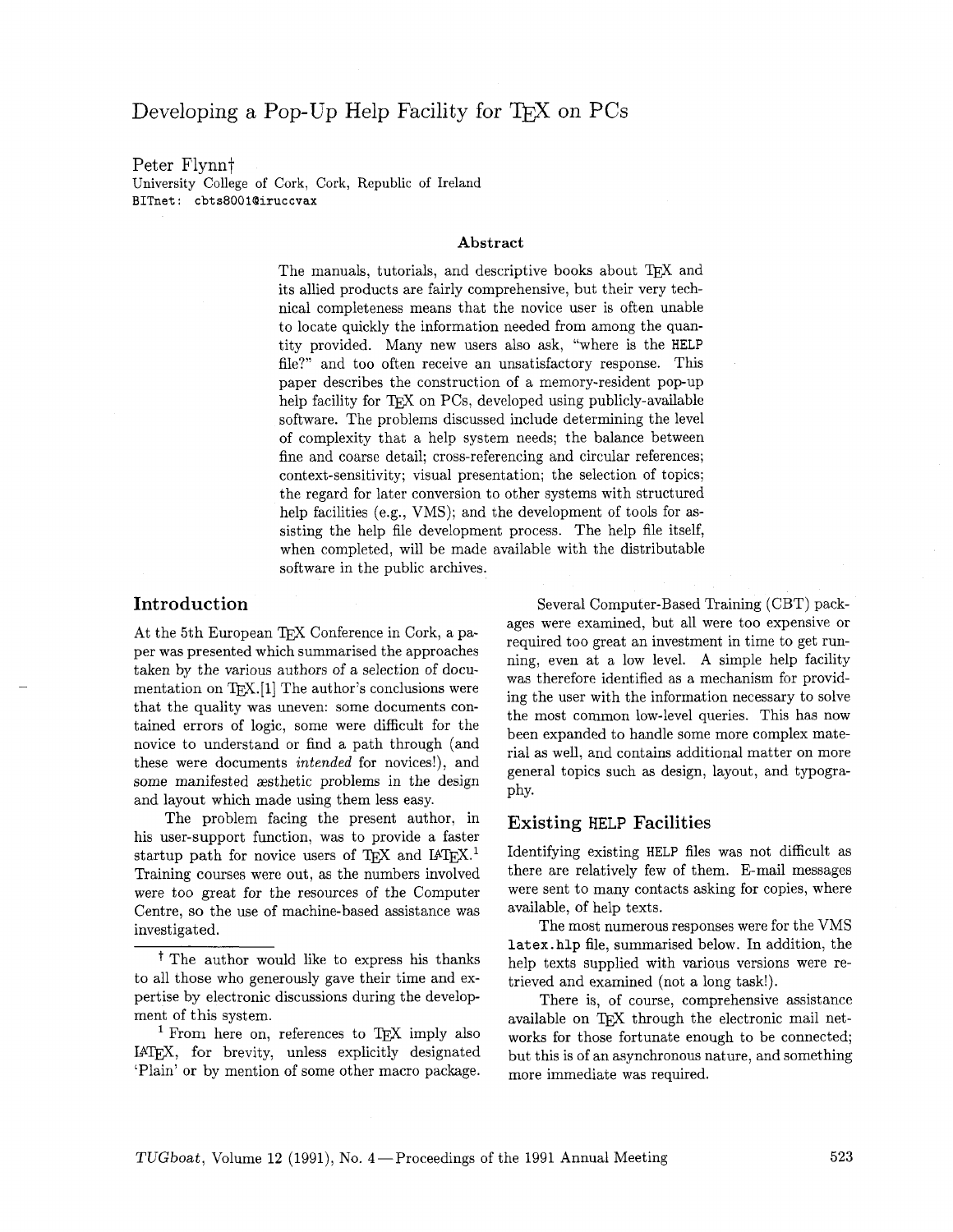# Developing a Pop-Up Help Facility for T<sub>F</sub>X on PCs

#### Peter Flynnt

University College of Cork, Cork, Republic of Ireland **BITnet: cbts8001@iruccvax** 

#### **Abstract**

The manuals, tutorials, and descriptive books about TFX and its allied products are fairly comprehensive, but their very technical completeness means that the novice user is often unable to locate quickly the information needed from among the quantity provided. Many new users also ask, "where is the HELP file?" and too often receive an unsatisfactory response. This paper describes the construction of a memory-resident pop-up help facility for TEX on PCs, developed using publicly-available software. The problems discussed include determining the level of complexity that a help system needs; the balance between fine and coarse detail; cross-referencing and circular references; context-sensitivity; visual presentation; the selection of topics; the regard for later conversion to other systems with structured help facilities (e.g., VMS); and the development of tools for assisting the help file development process. The help file itself, when completed, will be made available with the distributable software in the public archives.

## Introduction

At the 5th European TFX Conference in Cork, a paper was presented which summarised the approaches taken by the various authors of a selection of documentation on  $TFX.[1]$  The author's conclusions were that the quality was uneven: some documents contained errors of logic, some were difficult for the novice to understand or find a path through (and these were documents intended for novices!), and some manifested aesthetic problems in the design and layout which made using them less easy.

The problem facing the present author, in his user-support function, was to provide a faster startup path for novice users of TFX and I4TFX.<sup>1</sup> Training courses were out, as the numbers involved were too great for the resources of the Computer Centre, so the use of machine-based assistance was investigated.

<sup>1</sup> From here on, references to T<sub>F</sub>X imply also IATEX, for brevity, unless explicitly designated 'Plain' or by mention of some other macro package.

Several Computer-Based Training (CBT) packages were examined, but all were too expensive or required too great an investment in time to get running, even at a low level. A simple help facility was therefore identified as a mechanism for providing the user with the information necessary to solve the most common low-level queries. This has now been expanded to handle some more complex material as well, and contains additional matter on more general topics such as design, layout, and typography.

#### Existing HELP Facilities

Identifying existing HELP files was not difficult as there are relatively few of them. E-mail messages were sent to many contacts asking for copies, where available, of help texts.

The most numerous responses were for the VMS **1atex.hlp** file, summarised below. In addition, the help texts supplied with various versions were retrieved and examined (not a long task!).

There is, of course, comprehensive assistance available on TFX through the electronic mail networks for those fortunate enough to be connected; but this is of an asynchronous nature, and something more immediate was required.

t The author would like to express his thanks to all those who generously gave their time and expertise by electronic discussions during the development of this system.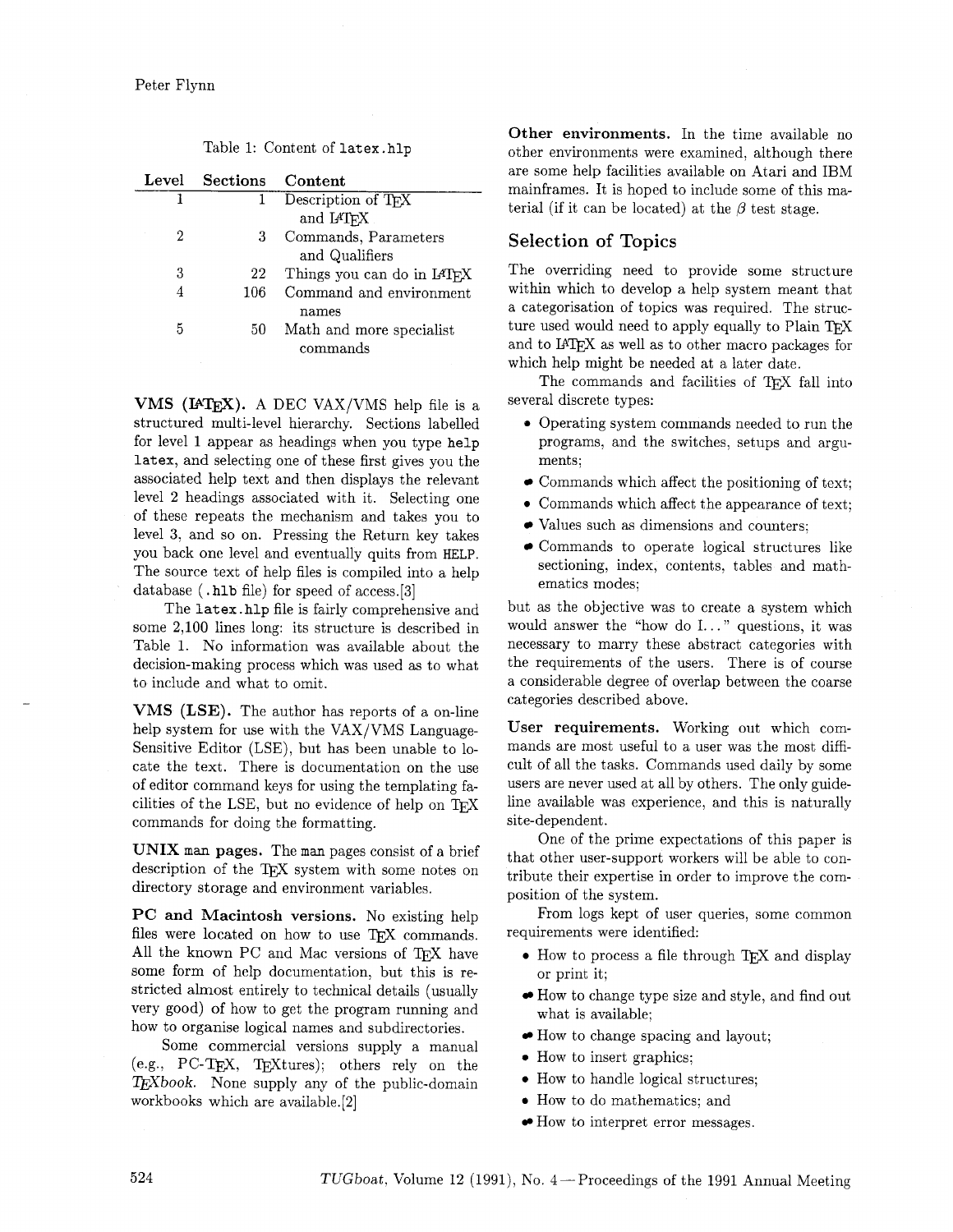| Level | Sections Content |                            |
|-------|------------------|----------------------------|
|       |                  | Description of TFX         |
|       |                  | and IATFX                  |
| 2     | 3                | Commands, Parameters       |
|       |                  | and Qualifiers             |
| 3     | 22               | Things you can do in IATEX |
|       | 106              | Command and environment    |
|       |                  | names                      |
| 5     | 50               | Math and more specialist   |
|       |                  | commands                   |

**VMS** (IAT<sub>F</sub>X). A DEC VAX/VMS help file is a structured multi-level hierarchy. Sections labelled for level 1 appear as headings when you type help latex, and selecting one of these first gives you the associated help text and then displays the relevant level 2 headings associated with it. Selecting one of these repeats the mechanism and takes you to level 3, and so on. Pressing the Return key takes you back one level and eventually quits from HELP. The source text of help files is compiled into a help database (. hlb file) for speed of access.[3]

The latex. hlp file is fairly comprehensive and some 2,100 lines long: its structure is described in Table 1. No information was available about the decision-making process which was used as to what to include and what to omit.

**VMS (LSE).** The author has reports of a on-line help system for use with the VAX/VMS Language-Sensitive Editor (LSE), but has been unable to locate the text. There is documentation on the use of editor command keys for using the templating facilities of the LSE, but no evidence of help on TEX commands for doing the formatting.

**UNIX man pages.** The man pages consist of a brief description of the T<sub>F</sub>X system with some notes on directory storage and environment variables.

**PC and Macintosh versions.** No existing help files were located on how to use TFX commands. All the known PC and Mac versions of TFX have some form of help documentation, but this is restricted almost entirely to technical details (usually very good) of how to get the program running and how to organise logical names and subdirectories.

Some commercial versions supply a manual (e.g.,  $\text{PC-TFX}, \text{TrXtures}$ ); others rely on the TEXbook. None supply any of the public-domain workbooks which are available. [2]

**Other environments.** In the time available no other environments were examined, although there are some help facilities available on Atari and IBM mainframes. It is hoped to include some of this material (if it can be located) at the  $\beta$  test stage.

## **Selection of Topics**

The overriding need to provide some structure within which to develop a help system meant that a categorisation of topics was required. The structo categorisation of topics was required. The structure used would need to apply equally to Plain TEX Figure used would need to apply equally to Plain TEX and to I $ATEX$  as well as to other macro packages for which help might be needed at a later date.

The commands and facilities of TEX fall into several discrete types:

- Operating system commands needed to run the programs, and the switches, setups and arguments;
- Commands which affect the positioning of text;
- Commands which affect the appearance of text;
- Values such as dimensions and counters:
- Commands to operate logical structures like sectioning, index, contents. tables and mathematics modes;

but as the objective was to create a system which would answer the "how do  $I...$ " questions, it was necessary to marry these abstract categories with the requirements of the users. There is of course a considerable degree of overlap between the coarse categories described above.

**User requirements.** Working out which commands are most useful to a user was the most difficult of all the tasks. Commands used daily by some users are never used at all by others. The only guideline available was experience, and this is naturally site-dependent.

One of the prime expectations of this paper is that other user-support workers will be able to contribute their expertise in order to improve the composition of the system.

From logs kept of user queries, some common requirements were identified:

- How to process a file through T<sub>F</sub>X and display or print it;
- How to change type size and style, and find out what is available;
- How to change spacing and layout;
- How to insert graphics:
- **0** How to handle logical structures;
- How to do mathematics; and
- How to interpret error messages.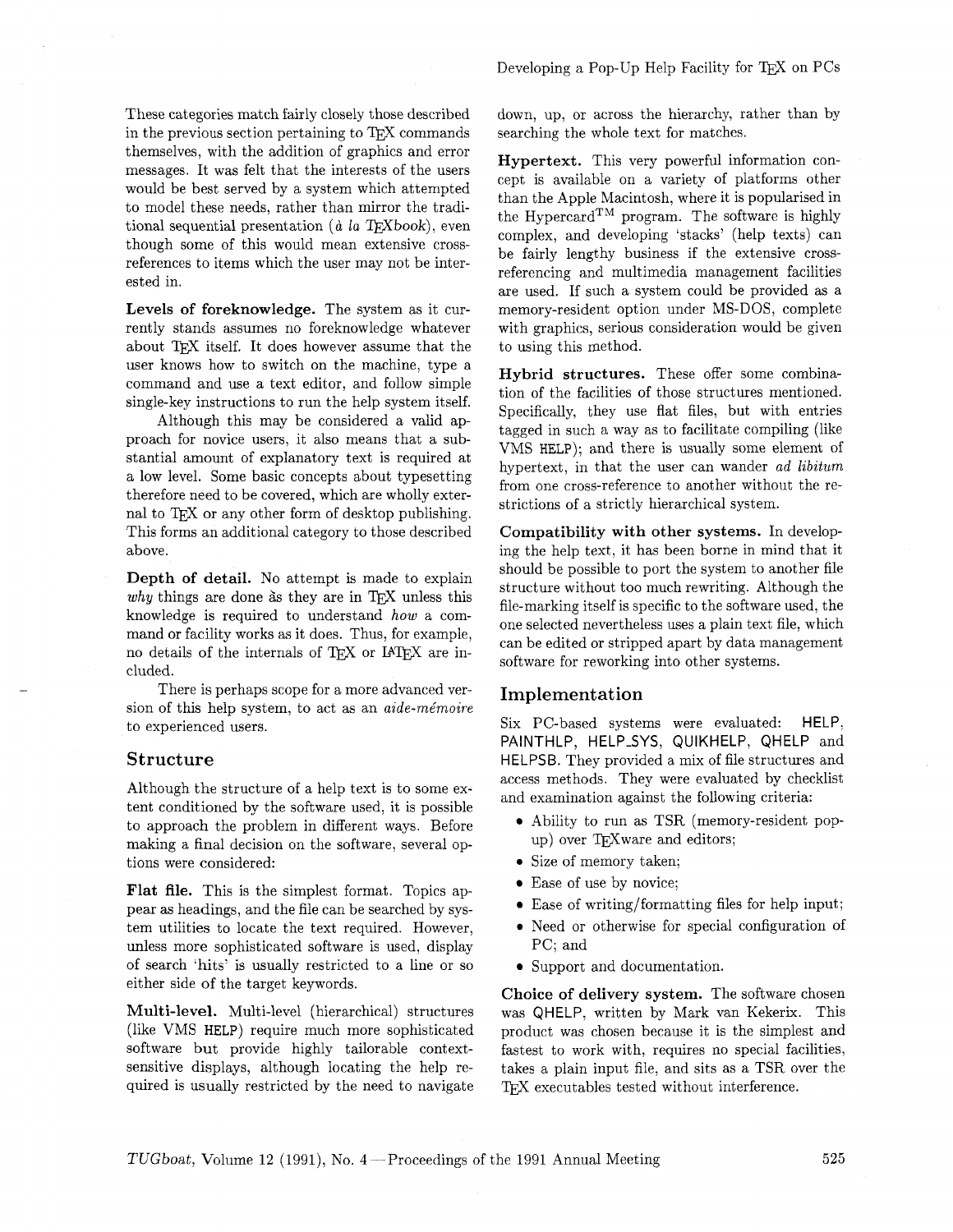These categories match fairly closely those described in the previous section pertaining to TFX commands themselves, with the addition of graphics and error messages. It was felt that the interests of the users would be best served by a system which attempted to model these needs, rather than mirror the traditional sequential presentation ( $\dot{a}$  la T<sub>F</sub>Xbook), even though some of this would mean extensive crossreferences to items which the user may not be interested in.

**Levels of foreknowledge.** The system as it currently stands assumes no foreknowledge whatever about TFX itself. It does however assume that the user knows how to switch on the machine, type a command and use a text editor, and follow simple single-key instructions to run the help system itself.

Although this may be considered a valid approach for novice users, it also means that a substantial amount of explanatory text is required at a low level. Some basic concepts about typesetting therefore need to be covered, which are wholly external to T<sub>F</sub>X or any other form of desktop publishing. This forms an additional category to those described above.

**Depth of detail.** No attempt is made to explain *why* things are done as they are in T<sub>FX</sub> unless this knowledge is required to understand **how** a command or facility works as it does. Thus, for example, no details of the internals of TFX or IATFX are included.

There is perhaps scope for a more advanced version of this help system, to act as an *aide-me'moire*  to experienced users.

## **Structure**

Although the structure of a help text is to some extent conditioned by the software used, it is possible to approach the problem in different ways. Before making a final decision on the software, several options were considered:

**Flat file.** This is the simplest format. Topics appear as headings, and the file can be searched by system utilities to locate the text required. However, unless more sophisticated software is used, display of search 'hits' is usually restricted to a line or so either side of the target keywords.

**Multi-level.** Multi-level (hierarchical) structures (like VMS HELP) require much more sophisticated software but provide highly tailorable contextsensitive displays, although locating the help required is usually restricted by the need to navigate

down, up, or across the hierarchy, rather than by searching the whole text for matches.

**Hypertext.** This very powerful information concept is available on a variety of platforms other than the Apple Macintosh, where it is popularised in the Hypercard<sup>TM</sup> program. The software is highly complex, and developing 'stacks' (help texts) can be fairly lengthy business if the extensive crossreferencing and multimedia management facilities are used. If such a system could be provided as a memory-resident option under MS-DOS, complete with graphics, serious consideration would be given to using this method.

**Hybrid structures.** These offer some combination of the facilities of those structures mentioned. Specifically, they use flat files, but with entries tagged in such a way as to facilitate compiling (like VMS HELP); and there is usually some element of hypertext, in that the user can wander *ad libitum*  from one cross-reference to another without the restrictions of a strictly hierarchical system.

**Compatibility with other systems.** In developing the help text, it has been borne in mind that it should be possible to port the system to another file structure without too much rewriting. Although the file-marking itself is specific to the software used, the one selected nevertheless uses a plain text file, which can be edited or stripped apart by data management software for reworking into other systems.

#### **Implementation**

Six PC-based systems were evaluated: HELP, PAINTHLP, HELP\_SYS, QUIKHELP, QHELP and HELPSB. They provided a mix of file structures and access methods. They were evaluated by checklist and examination against the following criteria:

- Ability to run as TSR (memory-resident popup) over TEXware and editors;
- **e**  Size of memory taken;
- Ease of use by novice;
- $\bullet$  Ease of writing/formatting files for help input;
- **e**  Need or otherwise for special configuration of PC; and
- Support and documentation.

**Choice of delivery system.** The software chosen was QHELP, written by Mark van Kekerix. This product was chosen because it is the simplest and fastest to work with, requires no special facilities, takes a plain input file, and sits as a TSR over the TFX executables tested without interference.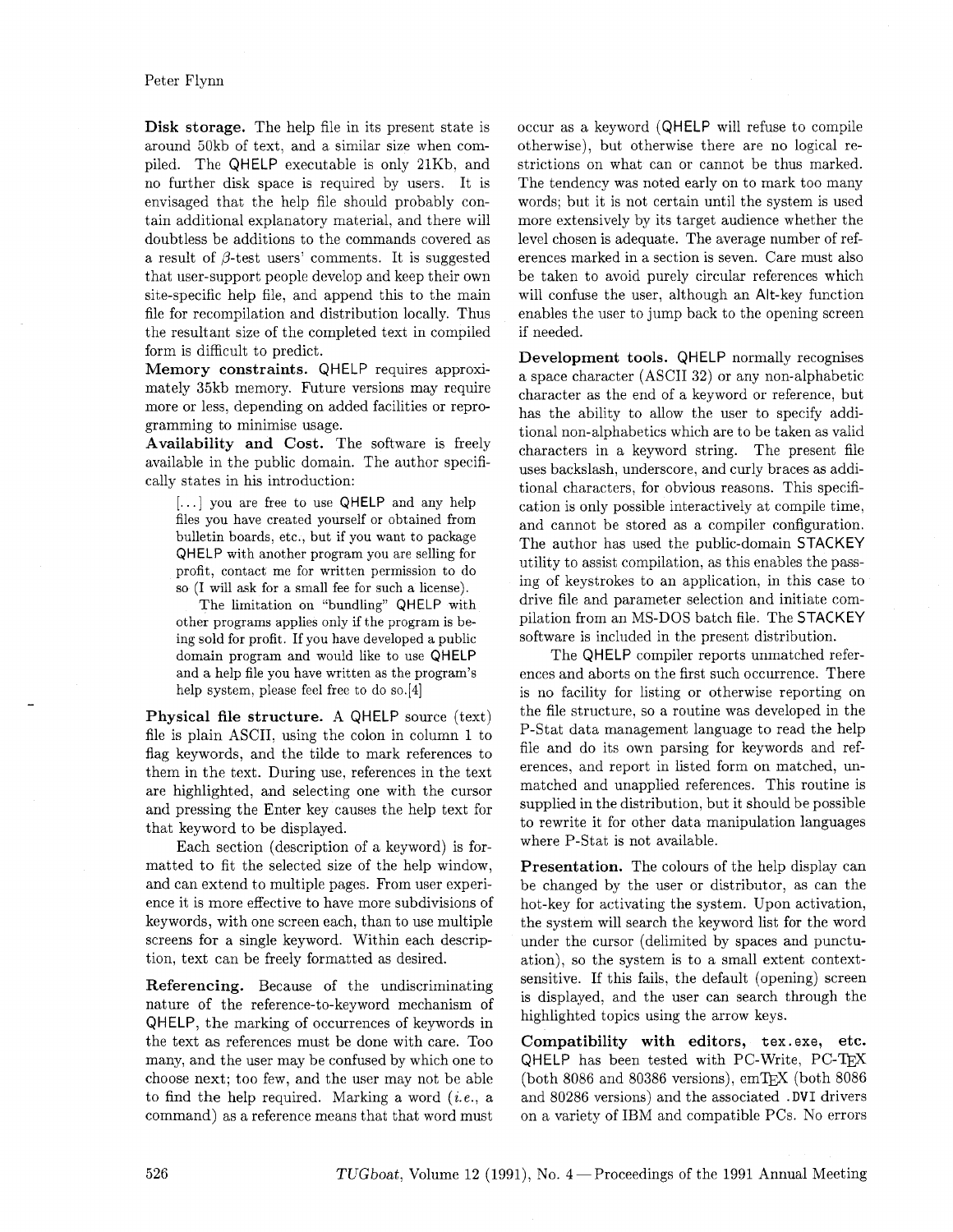Disk storage. The help file in its present state is around 50kb of text. and a similar size when compiled. The QHELP executable is only 21Kb, and no further disk space is required by users. It is envisaged that the help file should probably contain additional explanatory material, and there will doubtless be additions to the commands covered as a result of  $\beta$ -test users' comments. It is suggested that user-support people develop and keep their own site-specific help file, and append this to the main file for recompilation and distribution locally. Thus the resultant size of the completed text in compiled form is difficult to predict.

Memory constraints. QHELP requires approximately 35kb memory. Future versions may require more or less, depending on added facilities or reprogramming to minimise usage.

Availability and Cost. The software is freely available in the public domain. The author specifically states in his introduction:

[...] you are free to use QHELP and any help files you have created yourself or obtained from bulletin boards, etc., but if you want to package QHELP with another program you are selling for profit, contact me for written permission to do so (I will ask for a small fee for such a license).

The limitation on "bundling" QHELP with other programs applies only if the program is being sold for profit. If you have developed a public domain program and would like to use QHELP and a help file you have written as the program's help system, please feel free to do so. $[4]$ 

Physical file structure. A QHELP source (text) file is plain ASCII, using the colon in column 1 to flag keywords, and the tilde to mark references to them in the text. During use, references in the text are highlighted, and selecting one with the cursor and pressing the Enter key causes the help text for that keyword to be displayed.

Each section (description of a keyword) is formatted to fit the selected size of the help window, and can extend to multiple pages. From user experience it is more effective to have more subdivisions of keywords, with one screen each, than to use multiple screens for a single keyword. Within each description, text can be freely formatted as desired.

Referencing. Because of the undiscriminating nature of the reference-to-keyword mechanism of QHELP, the marking of occurrences of keywords in the text as references must be done with care. Too many, and the user may be confused by which one to choose next; too few, and the user may not be able to find the help required. Marking a word **(ie.,** a command) as a reference means that that word must

occur as a keyword (QHELP will refuse to compile otherwise), but otherwise there are no logical restrictions on what can or cannot be thus marked. The tendency was noted early on to mark too many words; but it is not certain until the system is used more extensively by its target audience whether the level chosen is adequate. The average number of references marked in a section is seven. Care must also be taken to avoid purely circular references which will confuse the user, although an Alt-key function enables the user to jump back to the opening screen if needed.

Development tools. QHELP normally recognises a space character (ASCII 32) or any non-alphabetic character as the end of a keyword or reference, but has the ability to allow the user to specify additional non-alphabetics which are to be taken as valid characters in a keyword string. The present file uses backslash, underscore, and curly braces as additional characters, for obvious reasons. This specification is only possible interactively at compile time. and cannot be stored as a compiler configuration. The author has used the public-domain STACKEY utility to assist compilation, as this enables the passing of keystrokes to an application, in this case to drive file and parameter selection and initiate compilation from an MS-DOS batch file. The STACKEY software is included in the present distribution.

The QHELP compiler reports unmatched references and aborts on the first such occurrence. There is no facility for listing or otherwise reporting on the file structure, so a routine was developed in the P-Stat data management language to read the help file and do its own parsing for keywords and references, and report in listed form on matched, unmatched and unapplied references. This routine is supplied in the distribution, but it should be possible to rewrite it for other data manipulation languages where P-Stat is not available.

Presentation. The colours of the help display can be changed by the user or distributor, as can the hot-key for activating the system. Upon activation, the system will search the keyword list for the word under the cursor (delimited by spaces and punctuation), so the system is to a small extent contextsensitive. If this fails, the default (opening) screen is displayed, and the user can search through the highlighted topics using the arrow keys.

Compatibility with editors, **tex. exe,** etc.  $Q$ HELP has been tested with PC-Write, PC-T<sub>E</sub>X (both 8086 and 80386 versions),  $emTeX$  (both 8086 and 80286 versions) and the associated **.DVI** drivers on a variety of IBM and compatible PCs. No errors